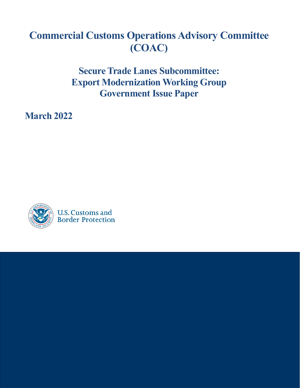# **Commercial Customs Operations Advisory Committee (COAC)**

**Secure Trade Lanes Subcommittee: Export Modernization Working Group Government Issue Paper**

**March 2022**